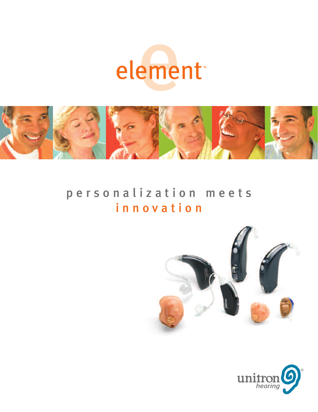



## personalization meets inno v ation



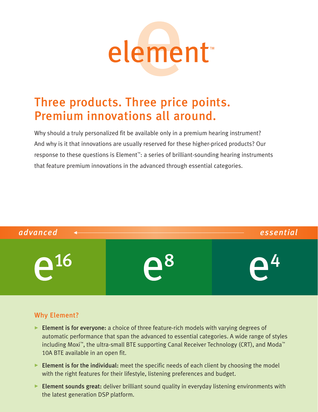

## Three products. Three price points. Premium innovations all around.

Why should a truly personalized fit be available only in a premium hearing instrument? And why is it that innovations are usually reserved for these higher-priced products? Our response to these questions is Element™: a series of brilliant-sounding hearing instruments that feature premium innovations in the advanced through essential categories.



### Why Element?

- Element is for everyone: a choice of three feature-rich models with varying degrees of automatic performance that span the advanced to essential categories. A wide range of styles including Moxi™, the ultra-small BTE supporting Canal Receiver Technology (CRT), and Moda™ 10A BTE available in an open fit.
- Element is for the individual: meet the specific needs of each client by choosing the model with the right features for their lifestyle, listening preferences and budget.
- Element sounds great: deliver brilliant sound quality in everyday listening environments with the latest generation DSP platform.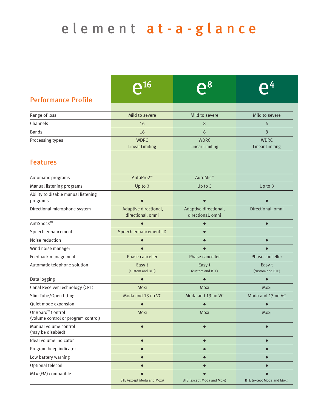|                                                                     | 16                                         |                                            |                                       |  |
|---------------------------------------------------------------------|--------------------------------------------|--------------------------------------------|---------------------------------------|--|
| <b>Performance Profile</b>                                          |                                            |                                            |                                       |  |
| Range of loss                                                       | Mild to severe                             | Mild to severe                             | Mild to severe                        |  |
| Channels                                                            | 16                                         | 8                                          | 4                                     |  |
| <b>Bands</b>                                                        | 16                                         | 8                                          | 8                                     |  |
| Processing types                                                    | <b>WDRC</b><br><b>Linear Limiting</b>      | <b>WDRC</b><br><b>Linear Limiting</b>      | <b>WDRC</b><br><b>Linear Limiting</b> |  |
| <b>Features</b>                                                     |                                            |                                            |                                       |  |
| Automatic programs                                                  | AutoPro2 <sup>™</sup>                      | AutoMic <sup>™</sup>                       |                                       |  |
| Manual listening programs                                           | Up to 3                                    | Up to 3                                    | Up to 3                               |  |
| Ability to disable manual listening<br>programs                     |                                            |                                            |                                       |  |
| Directional microphone system                                       | Adaptive directional,<br>directional, omni | Adaptive directional,<br>directional, omni | Directional, omni                     |  |
| AntiShock™                                                          |                                            | $\bullet$                                  | $\bullet$                             |  |
| Speech enhancement                                                  | Speech enhancement LD                      | $\bullet$                                  |                                       |  |
| Noise reduction                                                     |                                            |                                            |                                       |  |
| Wind noise manager                                                  |                                            |                                            |                                       |  |
| Feedback management                                                 | Phase canceller                            | Phase canceller                            | Phase canceller                       |  |
| Automatic telephone solution                                        | Easy-t<br>(custom and BTE)                 | Easy-t<br>(custom and BTE)                 | Easy-t<br>(custom and BTE)            |  |
| Data logging                                                        | $\bullet$                                  | $\bullet$                                  |                                       |  |
| Canal Receiver Technology (CRT)                                     | Moxi                                       | Moxi                                       | Moxi                                  |  |
| Slim Tube/Open fitting                                              | Moda and 13 no VC                          | Moda and 13 no VC                          | Moda and 13 no VC                     |  |
| Quiet mode expansion                                                | $\bullet$                                  | $\bullet$                                  | $\bullet$                             |  |
| OnBoard <sup>™</sup> Control<br>(volume control or program control) | Moxi                                       | Moxi                                       | Moxi                                  |  |
| Manual volume control<br>(may be disabled)                          | $\bullet$                                  | $\bullet$                                  | $\bullet$                             |  |
| Ideal volume indicator                                              | $\bullet$                                  | $\bullet$                                  | $\bullet$                             |  |
| Program beep indicator                                              | $\bullet$                                  | $\bullet$                                  |                                       |  |
| Low battery warning                                                 | $\bullet$                                  | $\bullet$                                  |                                       |  |
| Optional telecoil                                                   |                                            | $\bullet$                                  |                                       |  |
| MLx (FM) compatible                                                 | <b>BTE</b> (except Moda and Moxi)          | <b>BTE</b> (except Moda and Moxi)          | <b>BTE</b> (except Moda and Moxi)     |  |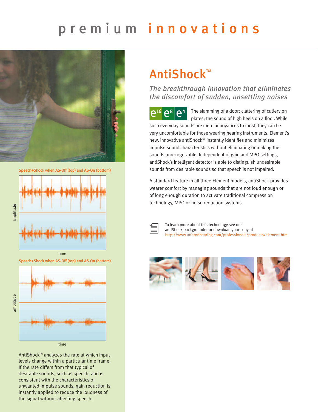# premium innovations







AntiShock<sup>™</sup> analyzes the rate at which input levels change within a particular time frame. If the rate differs from that typical of desirable sounds, such as speech, and is consistent with the characteristics of unwanted impulse sounds, gain reduction is instantly applied to reduce the loudness of the signal without affecting speech.

## AntiShock<sup>™</sup>

*The breakthrough innovation that eliminates the discomfort of sudden, unsettling noises*

 $\mathsf{P}^8$   $\mathsf{P}^4$ The slamming of a door; clattering of cutlery on plates; the sound of high heels on a floor. While such everyday sounds are mere annoyances to most, they can be very uncomfortable for those wearing hearing instruments. Element's new, innovative antiShock™ instantly identifies and minimizes impulse sound characteristics without eliminating or making the sounds unrecognizable. Independent of gain and MPO settings, antiShock's intelligent detector is able to distinguish undesirable sounds from desirable sounds so that speech is not impaired.

A standard feature in all three Element models, antiShock provides wearer comfort by managing sounds that are not loud enough or of long enough duration to activate traditional compression technology, MPO or noise reduction systems.



To learn more about this technology see our antiShock backgrounder or download your copy at http://www.unitronhearing.com/professionals/products/element.htm

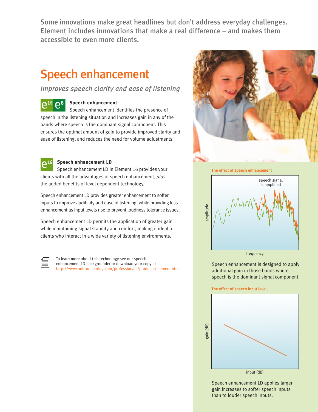Some innovations make great headlines but don't address everyday challenges. Element includes innovations that make a real difference – and makes them accessible to even more clients.

## Speech enhancement

*Improves speech clarity and ease of listening* 

#### $\mathbf{\Omega}^8$ **Speech enhancement**

Speech enhancement identifies the presence of speech in the listening situation and increases gain in any of the bands where speech is the dominant signal component. This ensures the optimal amount of gain to provide improved clarity and ease of listening, and reduces the need for volume adjustments.



### **Speech enhancement LD**

Speech enhancement LD in Element 16 provides your clients with all the advantages of speech enhancement, *plus* the added benefits of level dependent technology.

Speech enhancement LD provides greater enhancement to softer inputs to improve audibility and ease of listening, while providing less enhancement as input levels rise to prevent loudness tolerance issues.

Speech enhancement LD permits the application of greater gain while maintaining signal stability and comfort, making it ideal for clients who interact in a wide variety of listening environments.



To learn more about this technology see our speech enhancement LD backgrounder or download your copy at http://www.unitronhearing.com/professionals/products/element.htm





frequency

Speech enhancement is designed to apply additional gain in those bands where speech is the dominant signal component.



Speech enhancement LD applies larger gain increases to softer speech inputs than to louder speech inputs.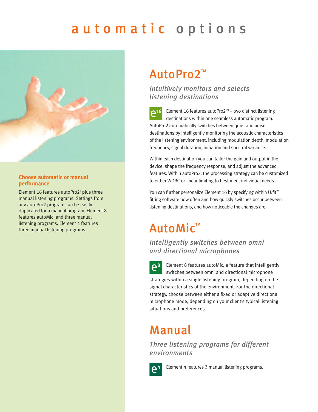# automatic options



### **Choose automatic or manual performance**

Element 16 features autoPro2 $<sup>T</sup>$  plus three</sup> manual listening programs. Settings from any autoPro2 program can be easily duplicated for a manual program. Element 8  $features auto Mic<sup>T</sup>$  and three manual listening programs. Element 4 features three manual listening programs.

## AutoPro2<sup>™</sup>

*Intuitively monitors and selects listening destinations*

 $e^{16}$ Element 16 features autoPro2<sup>™</sup> – two distinct listening destinations within one seamless automatic program. AutoPro2 automatically switches between quiet and noise destinations by intelligently monitoring the acoustic characteristics of the listening environment, including modulation depth, modulation frequency, signal duration, initiation and spectral variance.

Within each destination you can tailor the gain and output in the device, shape the frequency response, and adjust the advanced features. Within autoPro2, the processing strategy can be customized to either WDRC or linear limiting to best meet individual needs.

You can further personalize Element 16 by specifying within U:fit™ fitting software how often and how quickly switches occur between listening destinations, and how noticeable the changes are.

## AutoMic<sup>™</sup>

*Intelligently switches between omni and directional microphones* 

 $e^8$ Element 8 features autoMic, a feature that intelligently switches between omni and directional microphone strategies within a single listening program, depending on the signal characteristics of the environment. For the directional strategy, choose between either a fixed or adaptive directional microphone mode, depending on your client's typical listening situations and preferences.

## Manual

*Three listening programs for different environments* 



Element 4 features 3 manual listening programs.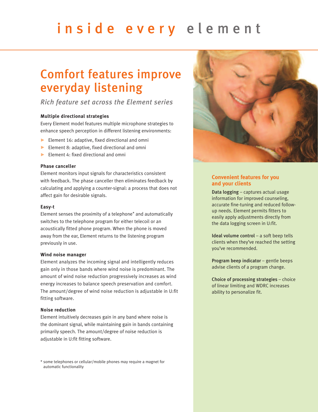# inside every element

## Comfort features improve everyday listening

### *Rich feature set across the Element series*

### **Multiple directional strategies**

Every Element model features multiple microphone strategies to enhance speech perception in different listening environments:

- Element 16: adaptive, fixed directional and omni
- Element 8: adaptive, fixed directional and omni
- Element 4: fixed directional and omni b.

### **Phase canceller**

Element monitors input signals for characteristics consistent with feedback. The phase canceller then eliminates feedback by calculating and applying a counter-signal: a process that does not affect gain for desirable signals.

#### **Easy-t**

Element senses the proximity of a telephone\* and automatically switches to the telephone program for either telecoil or an acoustically fitted phone program. When the phone is moved away from the ear, Element returns to the listening program previously in use.

#### **Wind noise manager**

Element analyzes the incoming signal and intelligently reduces gain only in those bands where wind noise is predominant. The amount of wind noise reduction progressively increases as wind energy increases to balance speech preservation and comfort. The amount/degree of wind noise reduction is adjustable in U:fit fitting software.

### **Noise reduction**

Element intuitively decreases gain in any band where noise is the dominant signal, while maintaining gain in bands containing primarily speech. The amount/degree of noise reduction is adjustable in U:fit fitting software.

\* some telephones or cellular/mobile phones may require a magnet for automatic functionality



### **Convenient features for you and your clients**

Data logging – captures actual usage information for improved counseling, accurate fine-tuning and reduced followup needs. Element permits fitters to easily apply adjustments directly from the data logging screen in U:fit.

Ideal volume control – a soft beep tells clients when they've reached the setting you've recommended.

Program beep indicator – gentle beeps advise clients of a program change.

Choice of processing strategies – choice of linear limiting and WDRC increases ability to personalize fit.